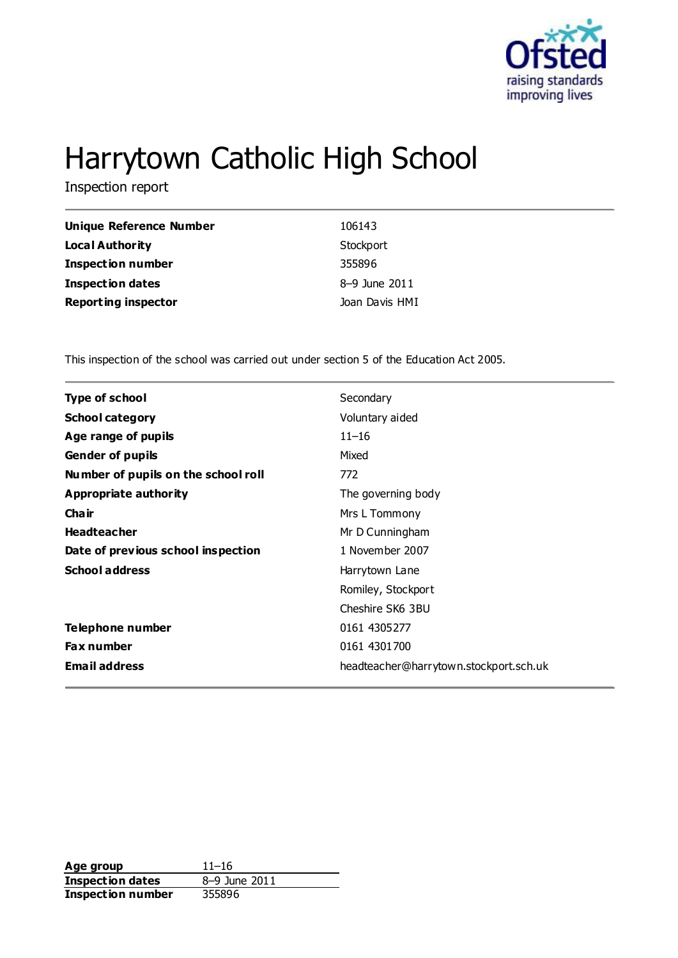

# Harrytown Catholic High School

Inspection report

| Unique Reference Number    | 106143         |
|----------------------------|----------------|
| Local Authority            | Stockport      |
| <b>Inspection number</b>   | 355896         |
| <b>Inspection dates</b>    | 8-9 June 2011  |
| <b>Reporting inspector</b> | Joan Davis HMI |

This inspection of the school was carried out under section 5 of the Education Act 2005.

| <b>Type of school</b>               | Secondary                              |
|-------------------------------------|----------------------------------------|
| <b>School category</b>              | Voluntary aided                        |
| Age range of pupils                 | $11 - 16$                              |
| <b>Gender of pupils</b>             | Mixed                                  |
| Number of pupils on the school roll | 772                                    |
| Appropriate authority               | The governing body                     |
| Cha ir                              | Mrs L Tommony                          |
| <b>Headteacher</b>                  | Mr D Cunningham                        |
| Date of previous school inspection  | 1 November 2007                        |
| <b>School address</b>               | Harrytown Lane                         |
|                                     | Romiley, Stockport                     |
|                                     | Cheshire SK6 3BU                       |
| Telephone number                    | 0161 4305277                           |
| <b>Fax number</b>                   | 0161 4301700                           |
| <b>Email address</b>                | headteacher@harrytown.stockport.sch.uk |
|                                     |                                        |

Age group<br> **Inspection dates**  $8-9$  June 2011 **Inspection dates Inspection number** 355896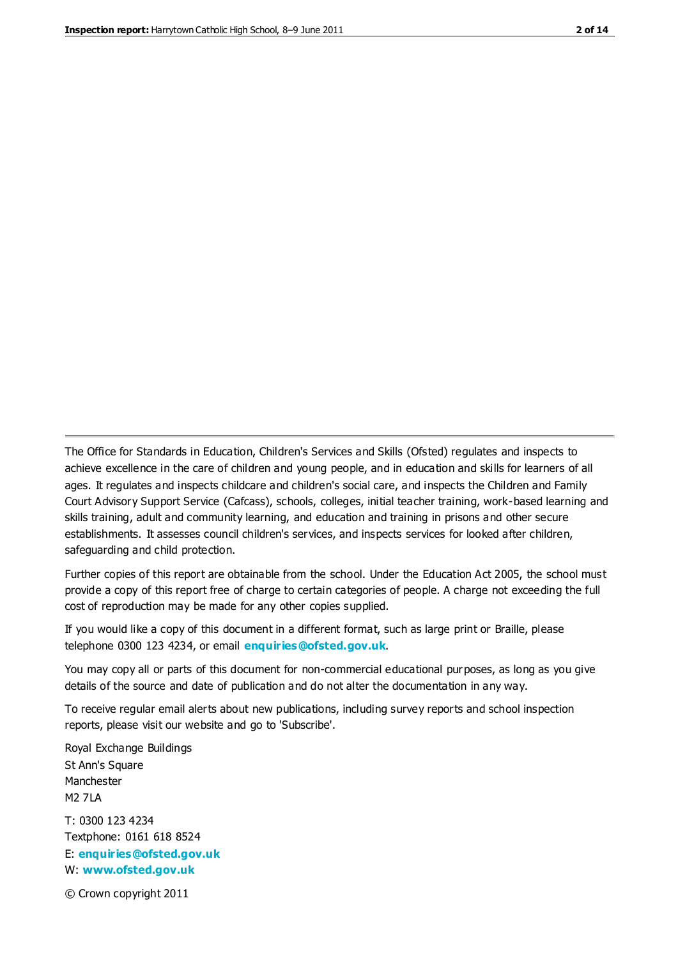The Office for Standards in Education, Children's Services and Skills (Ofsted) regulates and inspects to achieve excellence in the care of children and young people, and in education and skills for learners of all ages. It regulates and inspects childcare and children's social care, and inspects the Children and Family Court Advisory Support Service (Cafcass), schools, colleges, initial teacher training, work-based learning and skills training, adult and community learning, and education and training in prisons and other secure establishments. It assesses council children's services, and inspects services for looked after children, safeguarding and child protection.

Further copies of this report are obtainable from the school. Under the Education Act 2005, the school must provide a copy of this report free of charge to certain categories of people. A charge not exceeding the full cost of reproduction may be made for any other copies supplied.

If you would like a copy of this document in a different format, such as large print or Braille, please telephone 0300 123 4234, or email **[enquiries@ofsted.gov.uk](mailto:enquiries@ofsted.gov.uk)**.

You may copy all or parts of this document for non-commercial educational purposes, as long as you give details of the source and date of publication and do not alter the documentation in any way.

To receive regular email alerts about new publications, including survey reports and school inspection reports, please visit our website and go to 'Subscribe'.

Royal Exchange Buildings St Ann's Square Manchester M2 7LA T: 0300 123 4234 Textphone: 0161 618 8524 E: **[enquiries@ofsted.gov.uk](mailto:enquiries@ofsted.gov.uk)**

W: **[www.ofsted.gov.uk](http://www.ofsted.gov.uk/)**

© Crown copyright 2011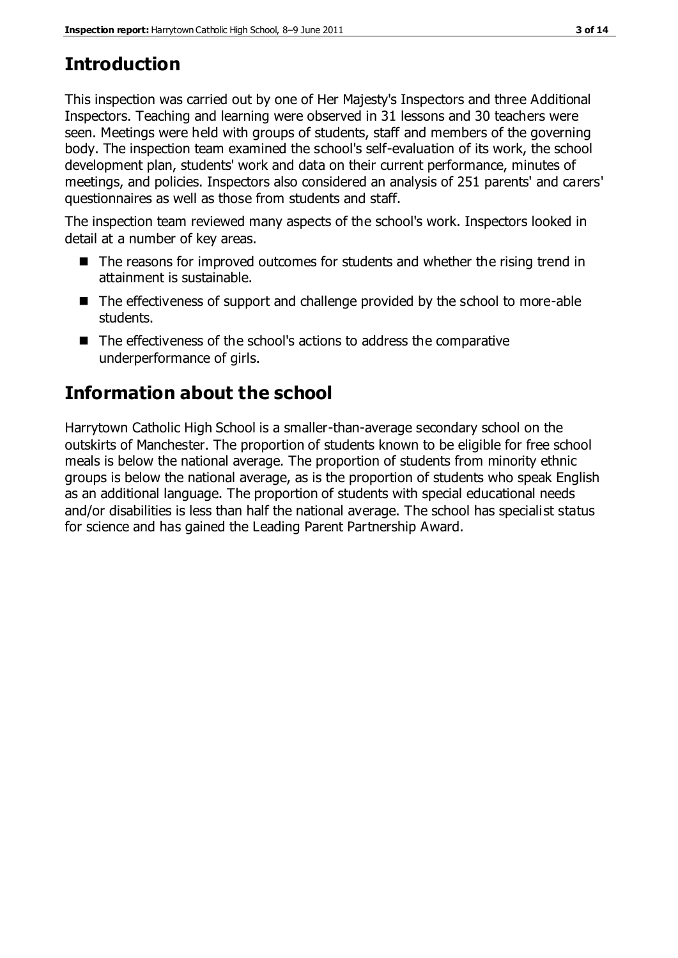# **Introduction**

This inspection was carried out by one of Her Majesty's Inspectors and three Additional Inspectors. Teaching and learning were observed in 31 lessons and 30 teachers were seen. Meetings were held with groups of students, staff and members of the governing body. The inspection team examined the school's self-evaluation of its work, the school development plan, students' work and data on their current performance, minutes of meetings, and policies. Inspectors also considered an analysis of 251 parents' and carers' questionnaires as well as those from students and staff.

The inspection team reviewed many aspects of the school's work. Inspectors looked in detail at a number of key areas.

- The reasons for improved outcomes for students and whether the rising trend in attainment is sustainable.
- The effectiveness of support and challenge provided by the school to more-able students.
- The effectiveness of the school's actions to address the comparative underperformance of girls.

# **Information about the school**

Harrytown Catholic High School is a smaller-than-average secondary school on the outskirts of Manchester. The proportion of students known to be eligible for free school meals is below the national average. The proportion of students from minority ethnic groups is below the national average, as is the proportion of students who speak English as an additional language. The proportion of students with special educational needs and/or disabilities is less than half the national average. The school has specialist status for science and has gained the Leading Parent Partnership Award.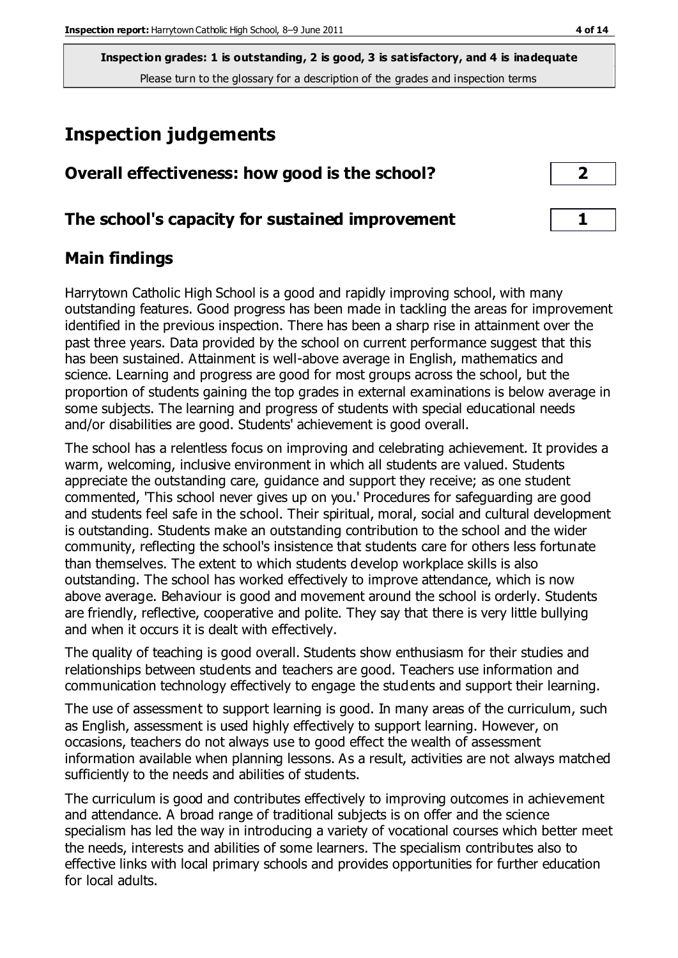# **Inspection judgements**

| Overall effectiveness: how good is the school?  |  |
|-------------------------------------------------|--|
| The school's capacity for sustained improvement |  |

# **Main findings**

Harrytown Catholic High School is a good and rapidly improving school, with many outstanding features. Good progress has been made in tackling the areas for improvement identified in the previous inspection. There has been a sharp rise in attainment over the past three years. Data provided by the school on current performance suggest that this has been sustained. Attainment is well-above average in English, mathematics and science. Learning and progress are good for most groups across the school, but the proportion of students gaining the top grades in external examinations is below average in some subjects. The learning and progress of students with special educational needs and/or disabilities are good. Students' achievement is good overall.

The school has a relentless focus on improving and celebrating achievement. It provides a warm, welcoming, inclusive environment in which all students are valued. Students appreciate the outstanding care, guidance and support they receive; as one student commented, 'This school never gives up on you.' Procedures for safeguarding are good and students feel safe in the school. Their spiritual, moral, social and cultural development is outstanding. Students make an outstanding contribution to the school and the wider community, reflecting the school's insistence that students care for others less fortunate than themselves. The extent to which students develop workplace skills is also outstanding. The school has worked effectively to improve attendance, which is now above average. Behaviour is good and movement around the school is orderly. Students are friendly, reflective, cooperative and polite. They say that there is very little bullying and when it occurs it is dealt with effectively.

The quality of teaching is good overall. Students show enthusiasm for their studies and relationships between students and teachers are good. Teachers use information and communication technology effectively to engage the students and support their learning.

The use of assessment to support learning is good. In many areas of the curriculum, such as English, assessment is used highly effectively to support learning. However, on occasions, teachers do not always use to good effect the wealth of assessment information available when planning lessons. As a result, activities are not always matched sufficiently to the needs and abilities of students.

The curriculum is good and contributes effectively to improving outcomes in achievement and attendance. A broad range of traditional subjects is on offer and the science specialism has led the way in introducing a variety of vocational courses which better meet the needs, interests and abilities of some learners. The specialism contributes also to effective links with local primary schools and provides opportunities for further education for local adults.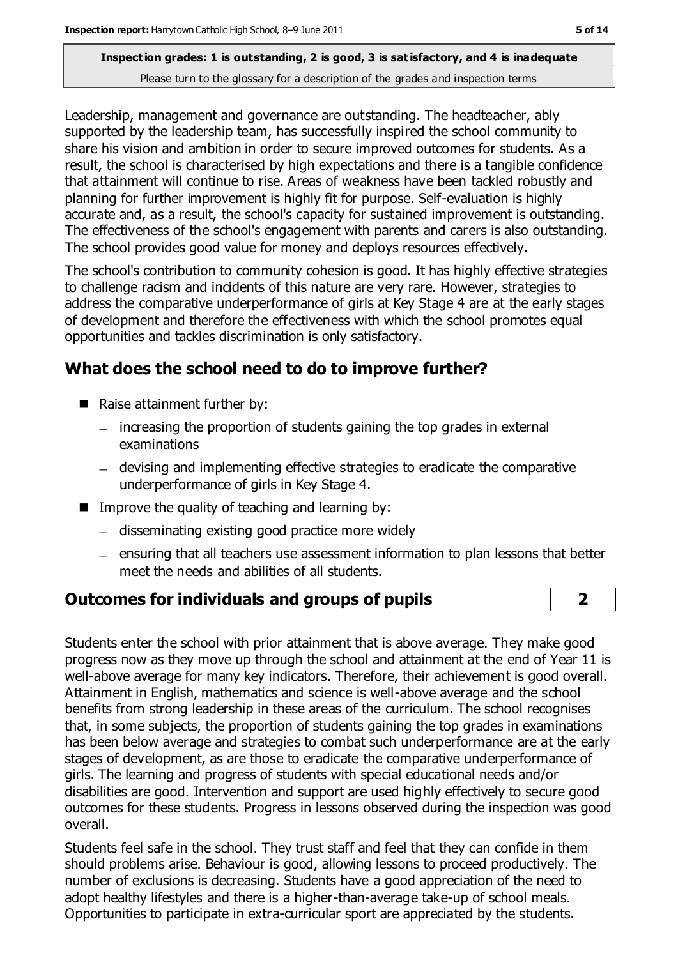Leadership, management and governance are outstanding. The headteacher, ably supported by the leadership team, has successfully inspired the school community to share his vision and ambition in order to secure improved outcomes for students. As a result, the school is characterised by high expectations and there is a tangible confidence that attainment will continue to rise. Areas of weakness have been tackled robustly and planning for further improvement is highly fit for purpose. Self-evaluation is highly accurate and, as a result, the school's capacity for sustained improvement is outstanding. The effectiveness of the school's engagement with parents and carers is also outstanding. The school provides good value for money and deploys resources effectively.

The school's contribution to community cohesion is good. It has highly effective strategies to challenge racism and incidents of this nature are very rare. However, strategies to address the comparative underperformance of girls at Key Stage 4 are at the early stages of development and therefore the effectiveness with which the school promotes equal opportunities and tackles discrimination is only satisfactory.

# **What does the school need to do to improve further?**

- Raise attainment further by:
	- $-$  increasing the proportion of students gaining the top grades in external examinations
	- devising and implementing effective strategies to eradicate the comparative underperformance of girls in Key Stage 4.
- $\blacksquare$  Improve the quality of teaching and learning by:
	- disseminating existing good practice more widely
	- $-$  ensuring that all teachers use assessment information to plan lessons that better meet the needs and abilities of all students.

# **Outcomes for individuals and groups of pupils 2**

Students enter the school with prior attainment that is above average. They make good progress now as they move up through the school and attainment at the end of Year 11 is well-above average for many key indicators. Therefore, their achievement is good overall. Attainment in English, mathematics and science is well-above average and the school benefits from strong leadership in these areas of the curriculum. The school recognises that, in some subjects, the proportion of students gaining the top grades in examinations has been below average and strategies to combat such underperformance are at the early stages of development, as are those to eradicate the comparative underperformance of girls. The learning and progress of students with special educational needs and/or disabilities are good. Intervention and support are used highly effectively to secure good outcomes for these students. Progress in lessons observed during the inspection was good overall.

Students feel safe in the school. They trust staff and feel that they can confide in them should problems arise. Behaviour is good, allowing lessons to proceed productively. The number of exclusions is decreasing. Students have a good appreciation of the need to adopt healthy lifestyles and there is a higher-than-average take-up of school meals. Opportunities to participate in extra-curricular sport are appreciated by the students.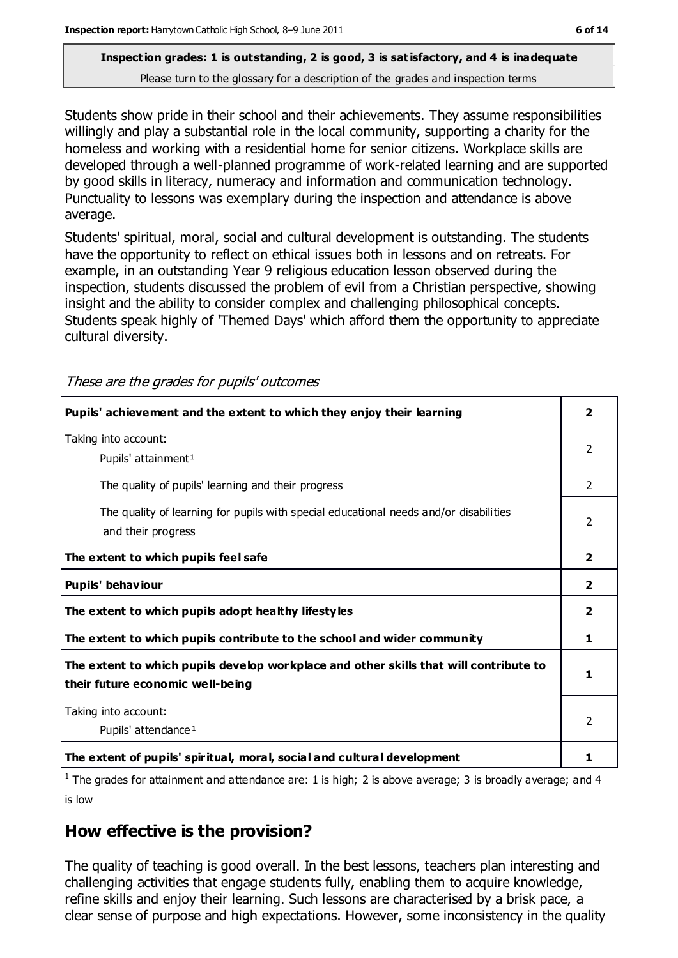Students show pride in their school and their achievements. They assume responsibilities willingly and play a substantial role in the local community, supporting a charity for the homeless and working with a residential home for senior citizens. Workplace skills are developed through a well-planned programme of work-related learning and are supported by good skills in literacy, numeracy and information and communication technology. Punctuality to lessons was exemplary during the inspection and attendance is above average.

Students' spiritual, moral, social and cultural development is outstanding. The students have the opportunity to reflect on ethical issues both in lessons and on retreats. For example, in an outstanding Year 9 religious education lesson observed during the inspection, students discussed the problem of evil from a Christian perspective, showing insight and the ability to consider complex and challenging philosophical concepts. Students speak highly of 'Themed Days' which afford them the opportunity to appreciate cultural diversity.

These are the grades for pupils' outcomes

| Pupils' achievement and the extent to which they enjoy their learning                                                     | 2             |
|---------------------------------------------------------------------------------------------------------------------------|---------------|
| Taking into account:<br>Pupils' attainment <sup>1</sup>                                                                   | $\mathcal{P}$ |
| The quality of pupils' learning and their progress                                                                        | 2             |
| The quality of learning for pupils with special educational needs and/or disabilities<br>and their progress               | $\mathcal{P}$ |
| The extent to which pupils feel safe                                                                                      | 2             |
| Pupils' behaviour                                                                                                         | 2             |
| The extent to which pupils adopt healthy lifestyles                                                                       | 2             |
| The extent to which pupils contribute to the school and wider community                                                   | 1             |
| The extent to which pupils develop workplace and other skills that will contribute to<br>their future economic well-being |               |
| Taking into account:<br>Pupils' attendance <sup>1</sup>                                                                   |               |
| The extent of pupils' spiritual, moral, social and cultural development                                                   | 1             |

<sup>1</sup> The grades for attainment and attendance are: 1 is high; 2 is above average; 3 is broadly average; and 4 is low

# **How effective is the provision?**

The quality of teaching is good overall. In the best lessons, teachers plan interesting and challenging activities that engage students fully, enabling them to acquire knowledge, refine skills and enjoy their learning. Such lessons are characterised by a brisk pace, a clear sense of purpose and high expectations. However, some inconsistency in the quality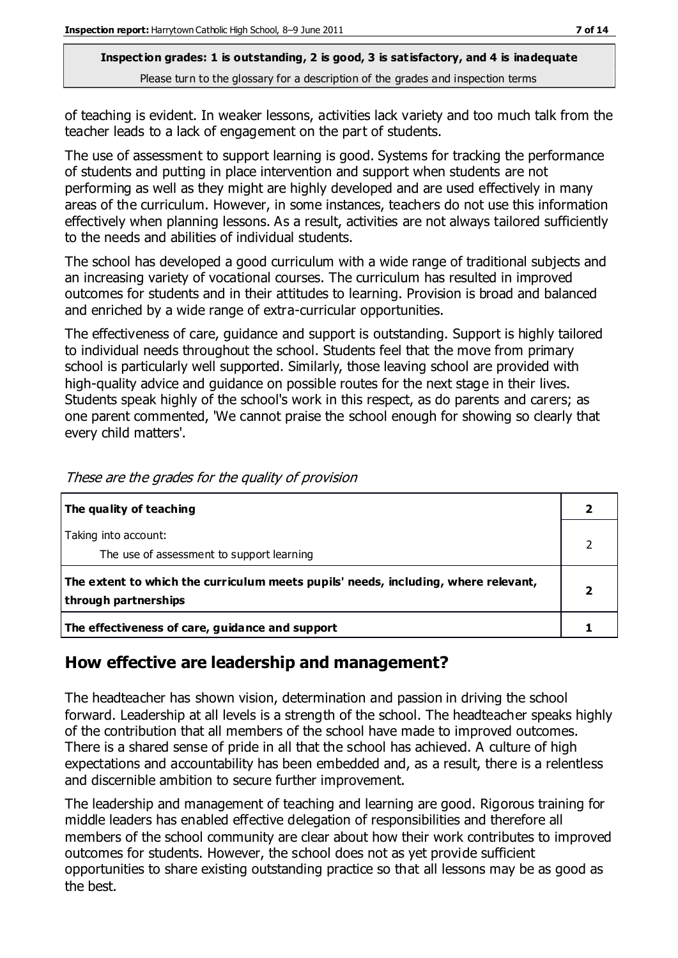of teaching is evident. In weaker lessons, activities lack variety and too much talk from the teacher leads to a lack of engagement on the part of students.

The use of assessment to support learning is good. Systems for tracking the performance of students and putting in place intervention and support when students are not performing as well as they might are highly developed and are used effectively in many areas of the curriculum. However, in some instances, teachers do not use this information effectively when planning lessons. As a result, activities are not always tailored sufficiently to the needs and abilities of individual students.

The school has developed a good curriculum with a wide range of traditional subjects and an increasing variety of vocational courses. The curriculum has resulted in improved outcomes for students and in their attitudes to learning. Provision is broad and balanced and enriched by a wide range of extra-curricular opportunities.

The effectiveness of care, guidance and support is outstanding. Support is highly tailored to individual needs throughout the school. Students feel that the move from primary school is particularly well supported. Similarly, those leaving school are provided with high-quality advice and guidance on possible routes for the next stage in their lives. Students speak highly of the school's work in this respect, as do parents and carers; as one parent commented, 'We cannot praise the school enough for showing so clearly that every child matters'.

| The quality of teaching                                                                                    |  |
|------------------------------------------------------------------------------------------------------------|--|
| Taking into account:<br>The use of assessment to support learning                                          |  |
| The extent to which the curriculum meets pupils' needs, including, where relevant,<br>through partnerships |  |
| The effectiveness of care, guidance and support                                                            |  |

These are the grades for the quality of provision

# **How effective are leadership and management?**

The headteacher has shown vision, determination and passion in driving the school forward. Leadership at all levels is a strength of the school. The headteacher speaks highly of the contribution that all members of the school have made to improved outcomes. There is a shared sense of pride in all that the school has achieved. A culture of high expectations and accountability has been embedded and, as a result, there is a relentless and discernible ambition to secure further improvement.

The leadership and management of teaching and learning are good. Rigorous training for middle leaders has enabled effective delegation of responsibilities and therefore all members of the school community are clear about how their work contributes to improved outcomes for students. However, the school does not as yet provide sufficient opportunities to share existing outstanding practice so that all lessons may be as good as the best.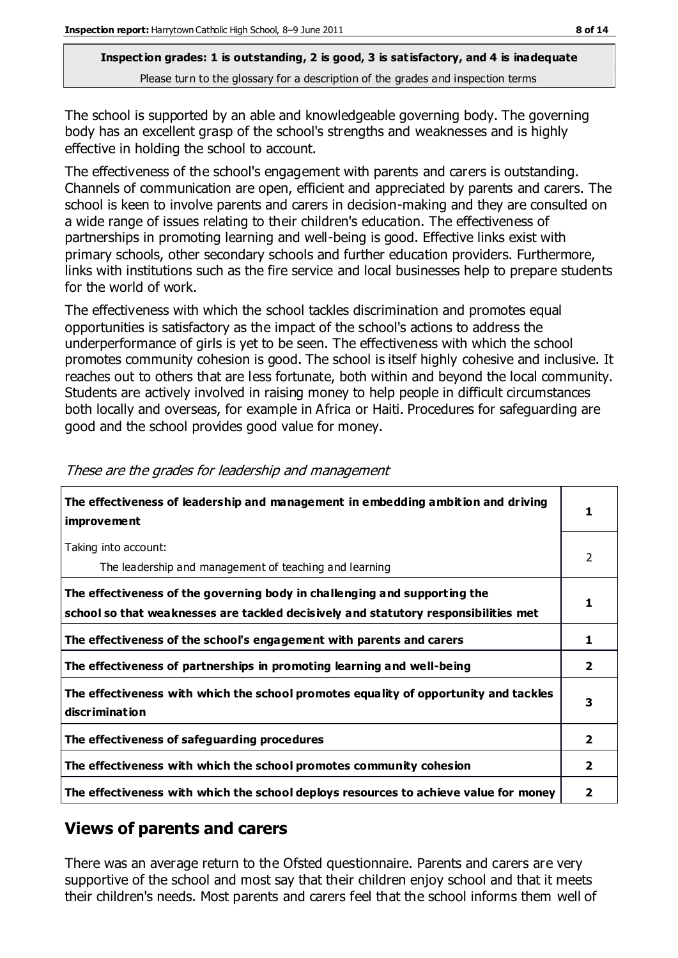The school is supported by an able and knowledgeable governing body. The governing body has an excellent grasp of the school's strengths and weaknesses and is highly effective in holding the school to account.

The effectiveness of the school's engagement with parents and carers is outstanding. Channels of communication are open, efficient and appreciated by parents and carers. The school is keen to involve parents and carers in decision-making and they are consulted on a wide range of issues relating to their children's education. The effectiveness of partnerships in promoting learning and well-being is good. Effective links exist with primary schools, other secondary schools and further education providers. Furthermore, links with institutions such as the fire service and local businesses help to prepare students for the world of work.

The effectiveness with which the school tackles discrimination and promotes equal opportunities is satisfactory as the impact of the school's actions to address the underperformance of girls is yet to be seen. The effectiveness with which the school promotes community cohesion is good. The school is itself highly cohesive and inclusive. It reaches out to others that are less fortunate, both within and beyond the local community. Students are actively involved in raising money to help people in difficult circumstances both locally and overseas, for example in Africa or Haiti. Procedures for safeguarding are good and the school provides good value for money.

| The effectiveness of leadership and management in embedding ambition and driving<br><i>improvement</i>                                                           |                         |
|------------------------------------------------------------------------------------------------------------------------------------------------------------------|-------------------------|
| Taking into account:<br>The leadership and management of teaching and learning                                                                                   | 2                       |
| The effectiveness of the governing body in challenging and supporting the<br>school so that weaknesses are tackled decisively and statutory responsibilities met | 1                       |
| The effectiveness of the school's engagement with parents and carers                                                                                             | 1                       |
| The effectiveness of partnerships in promoting learning and well-being                                                                                           | 2                       |
| The effectiveness with which the school promotes equality of opportunity and tackles<br>discr iminat ion                                                         | 3                       |
| The effectiveness of safeguarding procedures                                                                                                                     | $\overline{\mathbf{2}}$ |
| The effectiveness with which the school promotes community cohesion                                                                                              | $\overline{\mathbf{2}}$ |
| The effectiveness with which the school deploys resources to achieve value for money                                                                             | 2                       |

#### These are the grades for leadership and management

# **Views of parents and carers**

There was an average return to the Ofsted questionnaire. Parents and carers are very supportive of the school and most say that their children enjoy school and that it meets their children's needs. Most parents and carers feel that the school informs them well of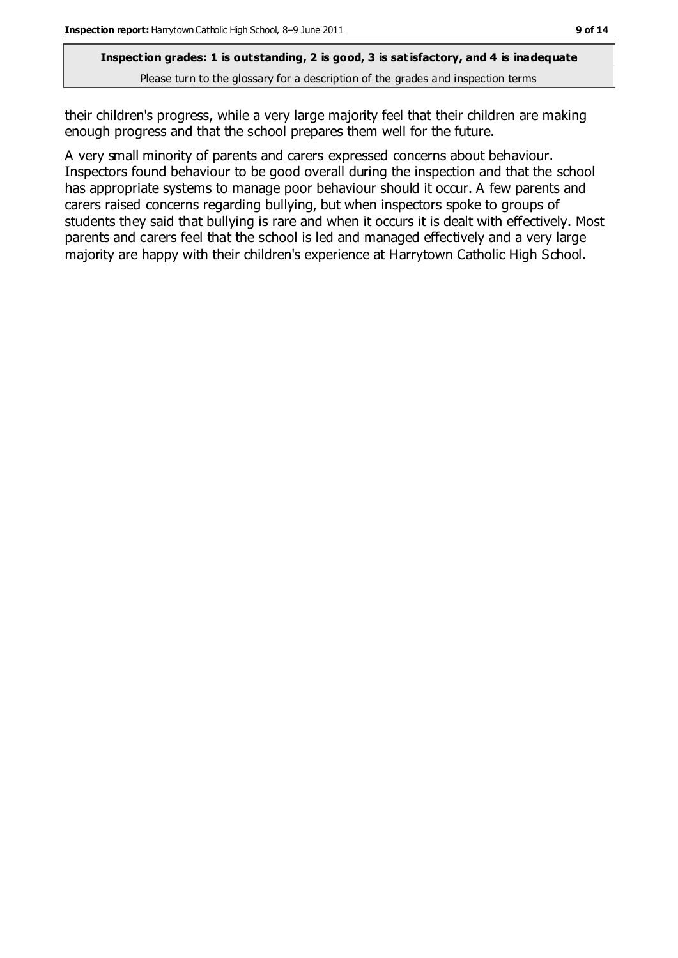their children's progress, while a very large majority feel that their children are making enough progress and that the school prepares them well for the future.

A very small minority of parents and carers expressed concerns about behaviour. Inspectors found behaviour to be good overall during the inspection and that the school has appropriate systems to manage poor behaviour should it occur. A few parents and carers raised concerns regarding bullying, but when inspectors spoke to groups of students they said that bullying is rare and when it occurs it is dealt with effectively. Most parents and carers feel that the school is led and managed effectively and a very large majority are happy with their children's experience at Harrytown Catholic High School.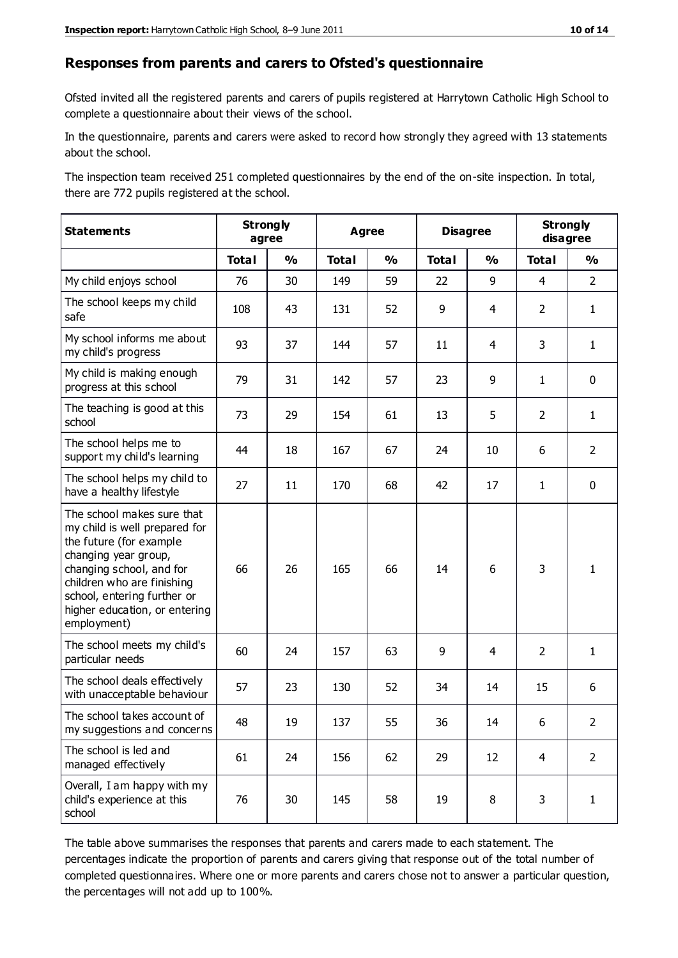#### **Responses from parents and carers to Ofsted's questionnaire**

Ofsted invited all the registered parents and carers of pupils registered at Harrytown Catholic High School to complete a questionnaire about their views of the school.

In the questionnaire, parents and carers were asked to record how strongly they agreed with 13 statements about the school.

The inspection team received 251 completed questionnaires by the end of the on-site inspection. In total, there are 772 pupils registered at the school.

| <b>Statements</b>                                                                                                                                                                                                                                       | <b>Strongly</b><br>agree |               | <b>Agree</b> |                         | <b>Disagree</b> |                | <b>Strongly</b><br>disagree |                |
|---------------------------------------------------------------------------------------------------------------------------------------------------------------------------------------------------------------------------------------------------------|--------------------------|---------------|--------------|-------------------------|-----------------|----------------|-----------------------------|----------------|
|                                                                                                                                                                                                                                                         | <b>Total</b>             | $\frac{1}{2}$ | <b>Total</b> | $\mathbf{O}/\mathbf{o}$ | <b>Total</b>    | $\frac{1}{2}$  | <b>Total</b>                | $\frac{1}{2}$  |
| My child enjoys school                                                                                                                                                                                                                                  | 76                       | 30            | 149          | 59                      | 22              | 9              | $\overline{4}$              | $\overline{2}$ |
| The school keeps my child<br>safe                                                                                                                                                                                                                       | 108                      | 43            | 131          | 52                      | 9               | $\overline{4}$ | 2                           | $\mathbf{1}$   |
| My school informs me about<br>my child's progress                                                                                                                                                                                                       | 93                       | 37            | 144          | 57                      | 11              | 4              | 3                           | $\mathbf{1}$   |
| My child is making enough<br>progress at this school                                                                                                                                                                                                    | 79                       | 31            | 142          | 57                      | 23              | 9              | $\mathbf{1}$                | $\pmb{0}$      |
| The teaching is good at this<br>school                                                                                                                                                                                                                  | 73                       | 29            | 154          | 61                      | 13              | 5              | $\overline{2}$              | $\mathbf{1}$   |
| The school helps me to<br>support my child's learning                                                                                                                                                                                                   | 44                       | 18            | 167          | 67                      | 24              | 10             | 6                           | $\overline{2}$ |
| The school helps my child to<br>have a healthy lifestyle                                                                                                                                                                                                | 27                       | 11            | 170          | 68                      | 42              | 17             | $\mathbf{1}$                | $\mathbf 0$    |
| The school makes sure that<br>my child is well prepared for<br>the future (for example<br>changing year group,<br>changing school, and for<br>children who are finishing<br>school, entering further or<br>higher education, or entering<br>employment) | 66                       | 26            | 165          | 66                      | 14              | 6              | 3                           | 1              |
| The school meets my child's<br>particular needs                                                                                                                                                                                                         | 60                       | 24            | 157          | 63                      | 9               | 4              | 2                           | $\mathbf{1}$   |
| The school deals effectively<br>with unacceptable behaviour                                                                                                                                                                                             | 57                       | 23            | 130          | 52                      | 34              | 14             | 15                          | 6              |
| The school takes account of<br>my suggestions and concerns                                                                                                                                                                                              | 48                       | 19            | 137          | 55                      | 36              | 14             | 6                           | $\mathcal{L}$  |
| The school is led and<br>managed effectively                                                                                                                                                                                                            | 61                       | 24            | 156          | 62                      | 29              | 12             | $\overline{4}$              | $\overline{2}$ |
| Overall, I am happy with my<br>child's experience at this<br>school                                                                                                                                                                                     | 76                       | 30            | 145          | 58                      | 19              | 8              | 3                           | $\mathbf{1}$   |

The table above summarises the responses that parents and carers made to each statement. The percentages indicate the proportion of parents and carers giving that response out of the total number of completed questionnaires. Where one or more parents and carers chose not to answer a particular question, the percentages will not add up to 100%.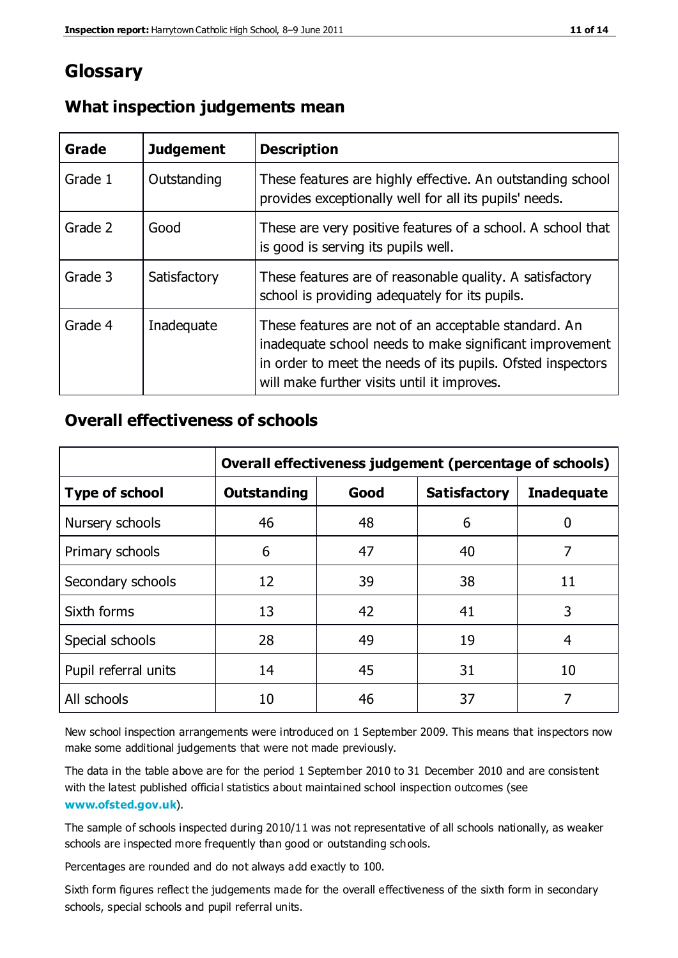# **Glossary**

| Grade   | <b>Judgement</b> | <b>Description</b>                                                                                                                                                                                                            |
|---------|------------------|-------------------------------------------------------------------------------------------------------------------------------------------------------------------------------------------------------------------------------|
| Grade 1 | Outstanding      | These features are highly effective. An outstanding school<br>provides exceptionally well for all its pupils' needs.                                                                                                          |
| Grade 2 | Good             | These are very positive features of a school. A school that<br>is good is serving its pupils well.                                                                                                                            |
| Grade 3 | Satisfactory     | These features are of reasonable quality. A satisfactory<br>school is providing adequately for its pupils.                                                                                                                    |
| Grade 4 | Inadequate       | These features are not of an acceptable standard. An<br>inadequate school needs to make significant improvement<br>in order to meet the needs of its pupils. Ofsted inspectors<br>will make further visits until it improves. |

### **What inspection judgements mean**

## **Overall effectiveness of schools**

|                       | Overall effectiveness judgement (percentage of schools) |      |                     |                   |
|-----------------------|---------------------------------------------------------|------|---------------------|-------------------|
| <b>Type of school</b> | <b>Outstanding</b>                                      | Good | <b>Satisfactory</b> | <b>Inadequate</b> |
| Nursery schools       | 46                                                      | 48   | 6                   |                   |
| Primary schools       | 6                                                       | 47   | 40                  | 7                 |
| Secondary schools     | 12                                                      | 39   | 38                  | 11                |
| Sixth forms           | 13                                                      | 42   | 41                  | 3                 |
| Special schools       | 28                                                      | 49   | 19                  | 4                 |
| Pupil referral units  | 14                                                      | 45   | 31                  | 10                |
| All schools           | 10                                                      | 46   | 37                  |                   |

New school inspection arrangements were introduced on 1 September 2009. This means that inspectors now make some additional judgements that were not made previously.

The data in the table above are for the period 1 September 2010 to 31 December 2010 and are consistent with the latest published official statistics about maintained school inspection outcomes (see **[www.ofsted.gov.uk](http://www.ofsted.gov.uk/)**).

The sample of schools inspected during 2010/11 was not representative of all schools nationally, as weaker schools are inspected more frequently than good or outstanding schools.

Percentages are rounded and do not always add exactly to 100.

Sixth form figures reflect the judgements made for the overall effectiveness of the sixth form in secondary schools, special schools and pupil referral units.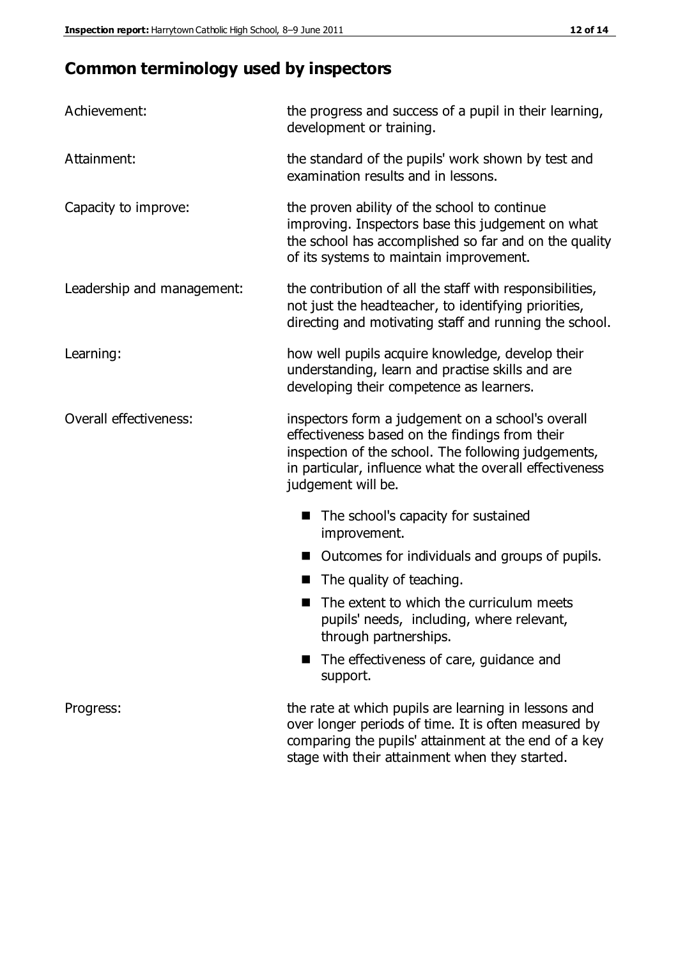# **Common terminology used by inspectors**

| Achievement:               | the progress and success of a pupil in their learning,<br>development or training.                                                                                                                                                          |  |  |
|----------------------------|---------------------------------------------------------------------------------------------------------------------------------------------------------------------------------------------------------------------------------------------|--|--|
| Attainment:                | the standard of the pupils' work shown by test and<br>examination results and in lessons.                                                                                                                                                   |  |  |
| Capacity to improve:       | the proven ability of the school to continue<br>improving. Inspectors base this judgement on what<br>the school has accomplished so far and on the quality<br>of its systems to maintain improvement.                                       |  |  |
| Leadership and management: | the contribution of all the staff with responsibilities,<br>not just the headteacher, to identifying priorities,<br>directing and motivating staff and running the school.                                                                  |  |  |
| Learning:                  | how well pupils acquire knowledge, develop their<br>understanding, learn and practise skills and are<br>developing their competence as learners.                                                                                            |  |  |
| Overall effectiveness:     | inspectors form a judgement on a school's overall<br>effectiveness based on the findings from their<br>inspection of the school. The following judgements,<br>in particular, influence what the overall effectiveness<br>judgement will be. |  |  |
|                            | The school's capacity for sustained<br>improvement.                                                                                                                                                                                         |  |  |
|                            | Outcomes for individuals and groups of pupils.                                                                                                                                                                                              |  |  |
|                            | The quality of teaching.                                                                                                                                                                                                                    |  |  |
|                            | The extent to which the curriculum meets<br>pupils' needs, including, where relevant,<br>through partnerships.                                                                                                                              |  |  |
|                            | The effectiveness of care, guidance and<br>support.                                                                                                                                                                                         |  |  |
| Progress:                  | the rate at which pupils are learning in lessons and<br>over longer periods of time. It is often measured by<br>comparing the pupils' attainment at the end of a key                                                                        |  |  |

stage with their attainment when they started.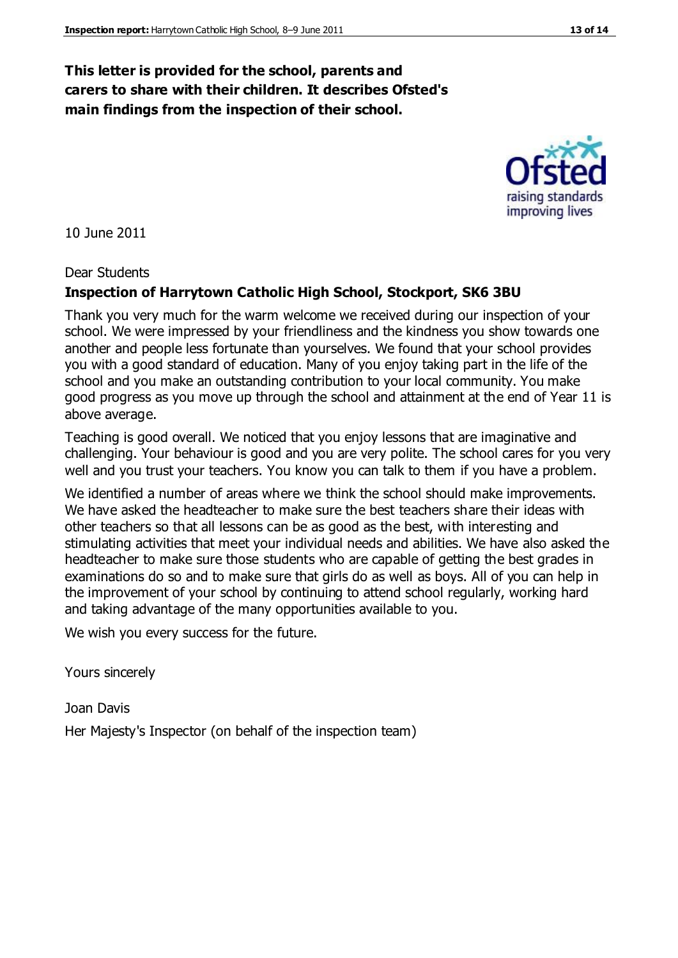### **This letter is provided for the school, parents and carers to share with their children. It describes Ofsted's main findings from the inspection of their school.**

10 June 2011

#### Dear Students

#### **Inspection of Harrytown Catholic High School, Stockport, SK6 3BU**

Thank you very much for the warm welcome we received during our inspection of your school. We were impressed by your friendliness and the kindness you show towards one another and people less fortunate than yourselves. We found that your school provides you with a good standard of education. Many of you enjoy taking part in the life of the school and you make an outstanding contribution to your local community. You make good progress as you move up through the school and attainment at the end of Year 11 is above average.

Teaching is good overall. We noticed that you enjoy lessons that are imaginative and challenging. Your behaviour is good and you are very polite. The school cares for you very well and you trust your teachers. You know you can talk to them if you have a problem.

We identified a number of areas where we think the school should make improvements. We have asked the headteacher to make sure the best teachers share their ideas with other teachers so that all lessons can be as good as the best, with interesting and stimulating activities that meet your individual needs and abilities. We have also asked the headteacher to make sure those students who are capable of getting the best grades in examinations do so and to make sure that girls do as well as boys. All of you can help in the improvement of your school by continuing to attend school regularly, working hard and taking advantage of the many opportunities available to you.

We wish you every success for the future.

Yours sincerely

Joan Davis Her Majesty's Inspector (on behalf of the inspection team)